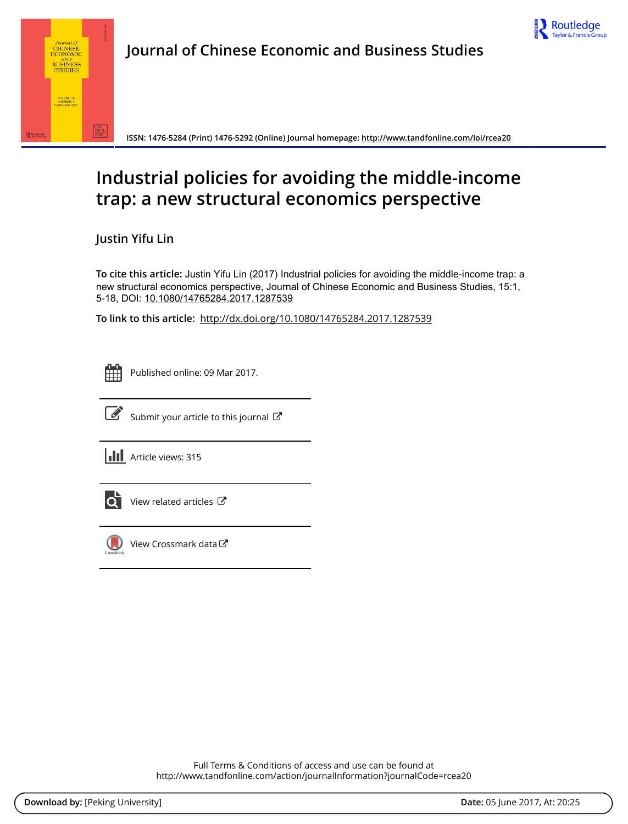



**ISSN: 1476-5284 (Print) 1476-5292 (Online) Journal homepage:<http://www.tandfonline.com/loi/rcea20>**

# **Industrial policies for avoiding the middle-income trap: a new structural economics perspective**

**Justin Yifu Lin**

**To cite this article:** Justin Yifu Lin (2017) Industrial policies for avoiding the middle-income trap: a new structural economics perspective, Journal of Chinese Economic and Business Studies, 15:1, 5-18, DOI: [10.1080/14765284.2017.1287539](http://www.tandfonline.com/action/showCitFormats?doi=10.1080/14765284.2017.1287539)

**To link to this article:** <http://dx.doi.org/10.1080/14765284.2017.1287539>

|  | - |  |
|--|---|--|
|  |   |  |
|  |   |  |
|  |   |  |

Published online: 09 Mar 2017.



 $\mathbb{Z}$  [Submit your article to this journal](http://www.tandfonline.com/action/authorSubmission?journalCode=rcea20&show=instructions)  $\mathbb{Z}$ 

**III** Article views: 315



[View related articles](http://www.tandfonline.com/doi/mlt/10.1080/14765284.2017.1287539)  $\mathbb{Z}$ 



[View Crossmark data](http://crossmark.crossref.org/dialog/?doi=10.1080/14765284.2017.1287539&domain=pdf&date_stamp=2017-03-09)<sup>C</sup>

Full Terms & Conditions of access and use can be found at <http://www.tandfonline.com/action/journalInformation?journalCode=rcea20>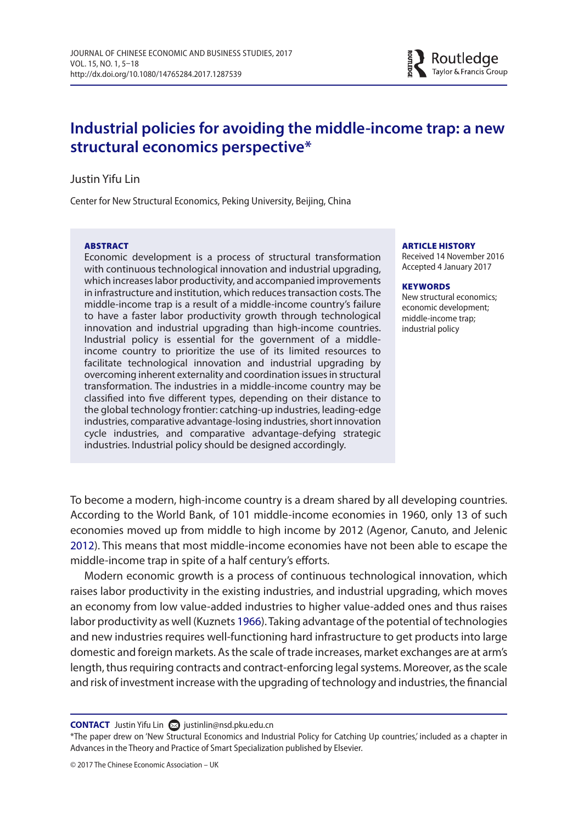

# **Industrial policies for avoiding the middle-income trap: a new structural economics perspectiv[e\\*](#page-1-0)**

#### Justin Yifu Lin

Center for New Structural Economics, Peking University, Beijing, China

#### **ABSTRACT**

Economic development is a process of structural transformation with continuous technological innovation and industrial upgrading, which increases labor productivity, and accompanied improvements in infrastructure and institution, which reduces transaction costs. The middle-income trap is a result of a middle-income country's failure to have a faster labor productivity growth through technological innovation and industrial upgrading than high-income countries. Industrial policy is essential for the government of a middleincome country to prioritize the use of its limited resources to facilitate technological innovation and industrial upgrading by overcoming inherent externality and coordination issues in structural transformation. The industries in a middle-income country may be classified into five different types, depending on their distance to the global technology frontier: catching-up industries, leading-edge industries, comparative advantage-losing industries, short innovation cycle industries, and comparative advantage-defying strategic industries. Industrial policy should be designed accordingly.

#### ARTICLE HISTORY

Received 14 November 2016 Accepted 4 January 2017

#### **KEYWORDS**

<span id="page-1-2"></span>New structural economics; economic development; middle-income trap; industrial policy

To become a modern, high-income country is a dream shared by all developing countries. According to the World Bank, of 101 middle-income economies in 1960, only 13 of such economies moved up from middle to high income by 2012 (Agenor, Canuto, and Jelenic [2012\)](#page-13-0). This means that most middle-income economies have not been able to escape the middle-income trap in spite of a half century's efforts.

<span id="page-1-1"></span>Modern economic growth is a process of continuous technological innovation, which raises labor productivity in the existing industries, and industrial upgrading, which moves an economy from low value-added industries to higher value-added ones and thus raises labor productivity as well (Kuznets [1966\)](#page-14-0). Taking advantage of the potential of technologies and new industries requires well-functioning hard infrastructure to get products into large domestic and foreign markets. As the scale of trade increases, market exchanges are at arm's length, thus requiring contracts and contract-enforcing legal systems. Moreover, as the scale and risk of investment increase with the upgrading of technology and industries, the financial

**CONTACT** Justin Yifu Lin **■** [justinlin@nsd.pku.edu.cn](mailto: justinlin@nsd.pku.edu.cn)

<span id="page-1-0"></span>\*The paper drew on 'New Structural Economics and Industrial Policy for Catching Up countries,' included as a chapter in Advances in the Theory and Practice of Smart Specialization published by Elsevier.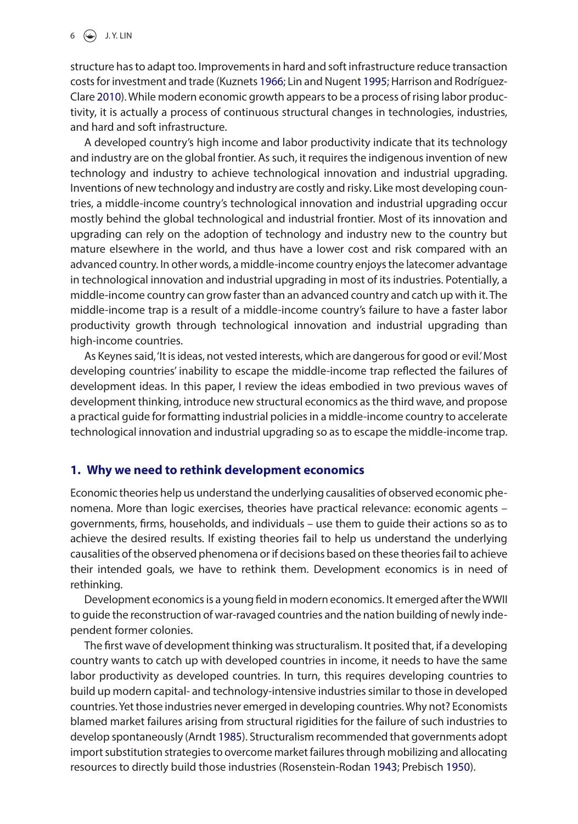<span id="page-2-2"></span><span id="page-2-1"></span>structure has to adapt too. Improvements in hard and soft infrastructure reduce transaction costs for investment and trade (Kuznets [1966;](#page-14-0) Lin and Nugent [1995](#page-14-1); Harrison and Rodríguez-Clare [2010](#page-13-1)). While modern economic growth appears to be a process of rising labor productivity, it is actually a process of continuous structural changes in technologies, industries, and hard and soft infrastructure.

A developed country's high income and labor productivity indicate that its technology and industry are on the global frontier. As such, it requires the indigenous invention of new technology and industry to achieve technological innovation and industrial upgrading. Inventions of new technology and industry are costly and risky. Like most developing countries, a middle-income country's technological innovation and industrial upgrading occur mostly behind the global technological and industrial frontier. Most of its innovation and upgrading can rely on the adoption of technology and industry new to the country but mature elsewhere in the world, and thus have a lower cost and risk compared with an advanced country. In other words, a middle-income country enjoys the latecomer advantage in technological innovation and industrial upgrading in most of its industries. Potentially, a middle-income country can grow faster than an advanced country and catch up with it. The middle-income trap is a result of a middle-income country's failure to have a faster labor productivity growth through technological innovation and industrial upgrading than high-income countries.

As Keynes said, 'It is ideas, not vested interests, which are dangerous for good or evil.' Most developing countries' inability to escape the middle-income trap reflected the failures of development ideas. In this paper, I review the ideas embodied in two previous waves of development thinking, introduce new structural economics as the third wave, and propose a practical guide for formatting industrial policies in a middle-income country to accelerate technological innovation and industrial upgrading so as to escape the middle-income trap.

# **1. Why we need to rethink development economics**

Economic theories help us understand the underlying causalities of observed economic phenomena. More than logic exercises, theories have practical relevance: economic agents – governments, firms, households, and individuals – use them to guide their actions so as to achieve the desired results. If existing theories fail to help us understand the underlying causalities of the observed phenomena or if decisions based on these theories fail to achieve their intended goals, we have to rethink them. Development economics is in need of rethinking.

Development economics is a young field in modern economics. It emerged after the WWII to guide the reconstruction of war-ravaged countries and the nation building of newly independent former colonies.

<span id="page-2-4"></span><span id="page-2-3"></span><span id="page-2-0"></span>The first wave of development thinking was structuralism. It posited that, if a developing country wants to catch up with developed countries in income, it needs to have the same labor productivity as developed countries. In turn, this requires developing countries to build up modern capital- and technology-intensive industries similar to those in developed countries. Yet those industries never emerged in developing countries. Why not? Economists blamed market failures arising from structural rigidities for the failure of such industries to develop spontaneously (Arndt [1985\)](#page-13-2). Structuralism recommended that governments adopt import substitution strategies to overcome market failures through mobilizing and allocating resources to directly build those industries (Rosenstein-Rodan [1943](#page-14-2); Prebisch [1950](#page-14-3)).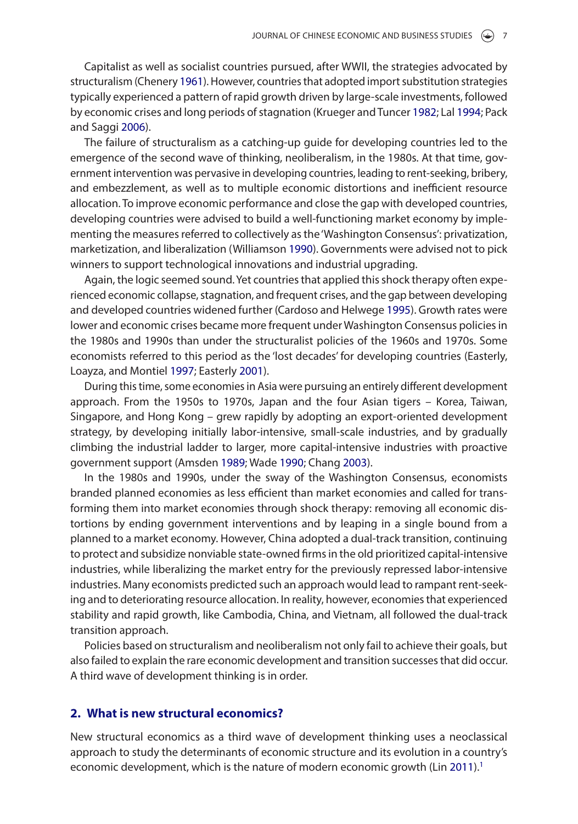<span id="page-3-3"></span>Capitalist as well as socialist countries pursued, after WWII, the strategies advocated by structuralism (Chenery [1961\)](#page-13-3). However, countries that adopted import substitution strategies typically experienced a pattern of rapid growth driven by large-scale investments, followed by economic crises and long periods of stagnation (Krueger and Tuncer [1982;](#page-14-4) Lal [1994](#page-14-5); Pack and Saggi [2006](#page-14-6)).

<span id="page-3-9"></span><span id="page-3-7"></span><span id="page-3-6"></span>The failure of structuralism as a catching-up guide for developing countries led to the emergence of the second wave of thinking, neoliberalism, in the 1980s. At that time, government intervention was pervasive in developing countries, leading to rent-seeking, bribery, and embezzlement, as well as to multiple economic distortions and inefficient resource allocation. To improve economic performance and close the gap with developed countries, developing countries were advised to build a well-functioning market economy by implementing the measures referred to collectively as the 'Washington Consensus': privatization, marketization, and liberalization (Williamson [1990](#page-14-7)). Governments were advised not to pick winners to support technological innovations and industrial upgrading.

<span id="page-3-11"></span><span id="page-3-1"></span>Again, the logic seemed sound. Yet countries that applied this shock therapy often experienced economic collapse, stagnation, and frequent crises, and the gap between developing and developed countries widened further (Cardoso and Helwege [1995\)](#page-13-4). Growth rates were lower and economic crises became more frequent under Washington Consensus policies in the 1980s and 1990s than under the structuralist policies of the 1960s and 1970s. Some economists referred to this period as the 'lost decades' for developing countries (Easterly, Loayza, and Montiel [1997;](#page-13-5) Easterly [2001\)](#page-13-6).

<span id="page-3-5"></span><span id="page-3-4"></span>During this time, some economies in Asia were pursuing an entirely different development approach. From the 1950s to 1970s, Japan and the four Asian tigers – Korea, Taiwan, Singapore, and Hong Kong – grew rapidly by adopting an export-oriented development strategy, by developing initially labor-intensive, small-scale industries, and by gradually climbing the industrial ladder to larger, more capital-intensive industries with proactive government support (Amsden [1989](#page-13-7); Wade [1990](#page-14-8); Chang [2003](#page-13-8)).

<span id="page-3-10"></span><span id="page-3-2"></span><span id="page-3-0"></span>In the 1980s and 1990s, under the sway of the Washington Consensus, economists branded planned economies as less efficient than market economies and called for transforming them into market economies through shock therapy: removing all economic distortions by ending government interventions and by leaping in a single bound from a planned to a market economy. However, China adopted a dual-track transition, continuing to protect and subsidize nonviable state-owned firms in the old prioritized capital-intensive industries, while liberalizing the market entry for the previously repressed labor-intensive industries. Many economists predicted such an approach would lead to rampant rent-seeking and to deteriorating resource allocation. In reality, however, economies that experienced stability and rapid growth, like Cambodia, China, and Vietnam, all followed the dual-track transition approach.

Policies based on structuralism and neoliberalism not only fail to achieve their goals, but also failed to explain the rare economic development and transition successes that did occur. A third wave of development thinking is in order.

#### **2. What is new structural economics?**

<span id="page-3-8"></span>New structural economics as a third wave of development thinking uses a neoclassical approach to study the determinants of economic structure and its evolution in a country's economic development, which is the nature of modern economic growth (Lin [2011\)](#page-14-9).<sup>1</sup>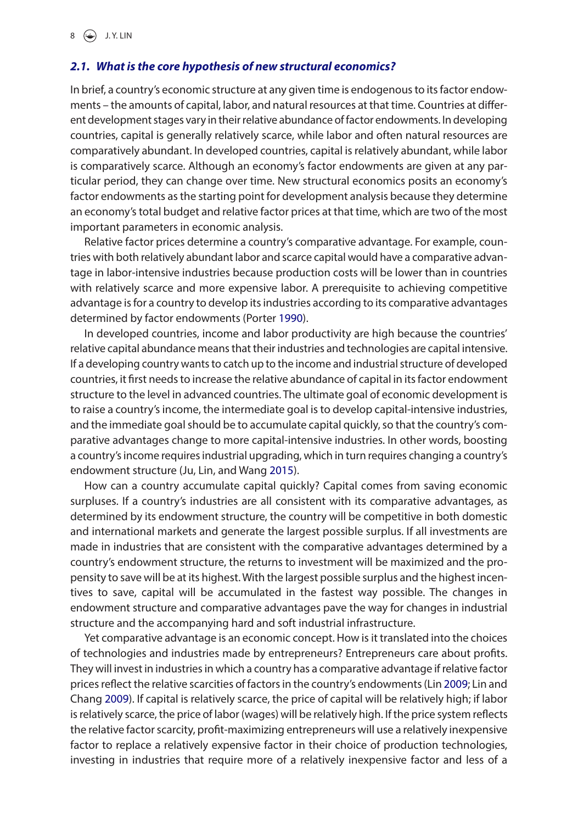# *2.1. What is the core hypothesis of new structural economics?*

In brief, a country's economic structure at any given time is endogenous to its factor endowments – the amounts of capital, labor, and natural resources at that time. Countries at different development stages vary in their relative abundance of factor endowments. In developing countries, capital is generally relatively scarce, while labor and often natural resources are comparatively abundant. In developed countries, capital is relatively abundant, while labor is comparatively scarce. Although an economy's factor endowments are given at any particular period, they can change over time. New structural economics posits an economy's factor endowments as the starting point for development analysis because they determine an economy's total budget and relative factor prices at that time, which are two of the most important parameters in economic analysis.

Relative factor prices determine a country's comparative advantage. For example, countries with both relatively abundant labor and scarce capital would have a comparative advantage in labor-intensive industries because production costs will be lower than in countries with relatively scarce and more expensive labor. A prerequisite to achieving competitive advantage is for a country to develop its industries according to its comparative advantages determined by factor endowments (Porter [1990](#page-14-10)).

<span id="page-4-3"></span>In developed countries, income and labor productivity are high because the countries' relative capital abundance means that their industries and technologies are capital intensive. If a developing country wants to catch up to the income and industrial structure of developed countries, it first needs to increase the relative abundance of capital in its factor endowment structure to the level in advanced countries. The ultimate goal of economic development is to raise a country's income, the intermediate goal is to develop capital-intensive industries, and the immediate goal should be to accumulate capital quickly, so that the country's comparative advantages change to more capital-intensive industries. In other words, boosting a country's income requires industrial upgrading, which in turn requires changing a country's endowment structure (Ju, Lin, and Wang [2015\)](#page-13-10).

<span id="page-4-0"></span>How can a country accumulate capital quickly? Capital comes from saving economic surpluses. If a country's industries are all consistent with its comparative advantages, as determined by its endowment structure, the country will be competitive in both domestic and international markets and generate the largest possible surplus. If all investments are made in industries that are consistent with the comparative advantages determined by a country's endowment structure, the returns to investment will be maximized and the propensity to save will be at its highest. With the largest possible surplus and the highest incentives to save, capital will be accumulated in the fastest way possible. The changes in endowment structure and comparative advantages pave the way for changes in industrial structure and the accompanying hard and soft industrial infrastructure.

<span id="page-4-2"></span><span id="page-4-1"></span>Yet comparative advantage is an economic concept. How is it translated into the choices of technologies and industries made by entrepreneurs? Entrepreneurs care about profits. They will invest in industries in which a country has a comparative advantage if relative factor prices reflect the relative scarcities of factors in the country's endowments (Lin [2009](#page-14-11); Lin and Chang [2009\)](#page-14-12). If capital is relatively scarce, the price of capital will be relatively high; if labor is relatively scarce, the price of labor (wages) will be relatively high. If the price system reflects the relative factor scarcity, profit-maximizing entrepreneurs will use a relatively inexpensive factor to replace a relatively expensive factor in their choice of production technologies, investing in industries that require more of a relatively inexpensive factor and less of a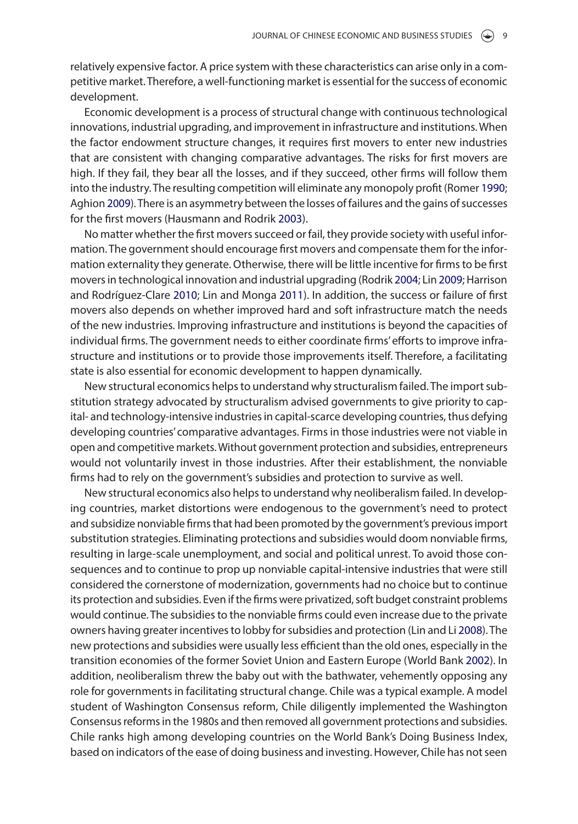relatively expensive factor. A price system with these characteristics can arise only in a competitive market. Therefore, a well-functioning market is essential for the success of economic development.

Economic development is a process of structural change with continuous technological innovations, industrial upgrading, and improvement in infrastructure and institutions. When the factor endowment structure changes, it requires first movers to enter new industries that are consistent with changing comparative advantages. The risks for first movers are high. If they fail, they bear all the losses, and if they succeed, other firms will follow them into the industry. The resulting competition will eliminate any monopoly profit (Romer [1990](#page-14-13); Aghion [2009](#page-13-11)). There is an asymmetry between the losses of failures and the gains of successes for the first movers (Hausmann and Rodrik [2003](#page-13-12)).

<span id="page-5-5"></span><span id="page-5-4"></span><span id="page-5-3"></span><span id="page-5-1"></span><span id="page-5-0"></span>No matter whether the first movers succeed or fail, they provide society with useful information. The government should encourage first movers and compensate them for the information externality they generate. Otherwise, there will be little incentive for firms to be first movers in technological innovation and industrial upgrading (Rodrik [2004;](#page-14-14) Lin [2009;](#page-14-11) Harrison and Rodríguez-Clare [2010](#page-13-1); Lin and Monga [2011](#page-14-15)). In addition, the success or failure of first movers also depends on whether improved hard and soft infrastructure match the needs of the new industries. Improving infrastructure and institutions is beyond the capacities of individual firms. The government needs to either coordinate firms' efforts to improve infrastructure and institutions or to provide those improvements itself. Therefore, a facilitating state is also essential for economic development to happen dynamically.

New structural economics helps to understand why structuralism failed. The import substitution strategy advocated by structuralism advised governments to give priority to capital- and technology-intensive industries in capital-scarce developing countries, thus defying developing countries' comparative advantages. Firms in those industries were not viable in open and competitive markets. Without government protection and subsidies, entrepreneurs would not voluntarily invest in those industries. After their establishment, the nonviable firms had to rely on the government's subsidies and protection to survive as well.

<span id="page-5-6"></span><span id="page-5-2"></span>New structural economics also helps to understand why neoliberalism failed. In developing countries, market distortions were endogenous to the government's need to protect and subsidize nonviable firms that had been promoted by the government's previous import substitution strategies. Eliminating protections and subsidies would doom nonviable firms, resulting in large-scale unemployment, and social and political unrest. To avoid those consequences and to continue to prop up nonviable capital-intensive industries that were still considered the cornerstone of modernization, governments had no choice but to continue its protection and subsidies. Even if the firms were privatized, soft budget constraint problems would continue. The subsidies to the nonviable firms could even increase due to the private owners having greater incentives to lobby for subsidies and protection (Lin and Li [2008\)](#page-14-16). The new protections and subsidies were usually less efficient than the old ones, especially in the transition economies of the former Soviet Union and Eastern Europe (World Bank [2002](#page-14-17)). In addition, neoliberalism threw the baby out with the bathwater, vehemently opposing any role for governments in facilitating structural change. Chile was a typical example. A model student of Washington Consensus reform, Chile diligently implemented the Washington Consensus reforms in the 1980s and then removed all government protections and subsidies. Chile ranks high among developing countries on the World Bank's Doing Business Index, based on indicators of the ease of doing business and investing. However, Chile has not seen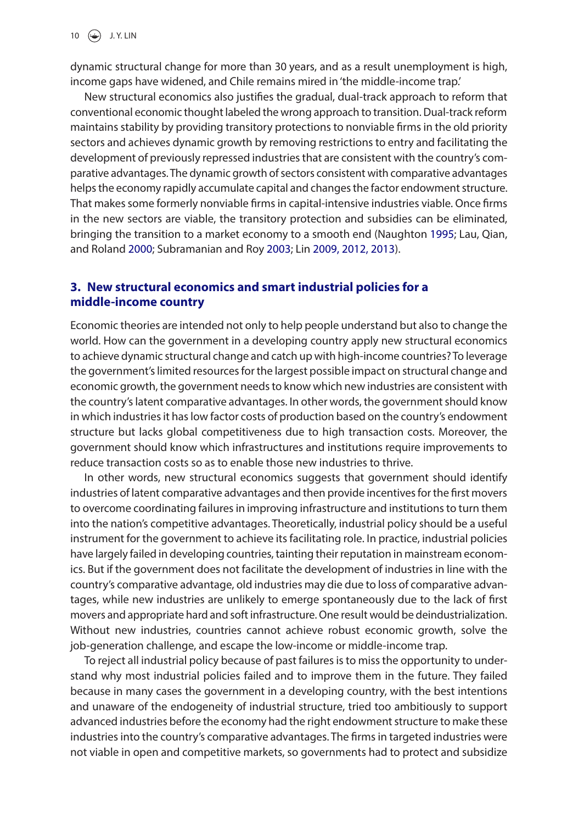dynamic structural change for more than 30 years, and as a result unemployment is high, income gaps have widened, and Chile remains mired in 'the middle-income trap.'

New structural economics also justifies the gradual, dual-track approach to reform that conventional economic thought labeled the wrong approach to transition. Dual-track reform maintains stability by providing transitory protections to nonviable firms in the old priority sectors and achieves dynamic growth by removing restrictions to entry and facilitating the development of previously repressed industries that are consistent with the country's comparative advantages. The dynamic growth of sectors consistent with comparative advantages helps the economy rapidly accumulate capital and changes the factor endowment structure. That makes some formerly nonviable firms in capital-intensive industries viable. Once firms in the new sectors are viable, the transitory protection and subsidies can be eliminated, bringing the transition to a market economy to a smooth end (Naughton [1995;](#page-14-18) Lau, Qian, and Roland [2000](#page-14-19); Subramanian and Roy [2003](#page-14-20); Lin [2009, 2012, 2013](#page-14-11)).

# <span id="page-6-2"></span><span id="page-6-1"></span><span id="page-6-0"></span>**3. New structural economics and smart industrial policies for a middle-income country**

Economic theories are intended not only to help people understand but also to change the world. How can the government in a developing country apply new structural economics to achieve dynamic structural change and catch up with high-income countries? To leverage the government's limited resources for the largest possible impact on structural change and economic growth, the government needs to know which new industries are consistent with the country's latent comparative advantages. In other words, the government should know in which industries it has low factor costs of production based on the country's endowment structure but lacks global competitiveness due to high transaction costs. Moreover, the government should know which infrastructures and institutions require improvements to reduce transaction costs so as to enable those new industries to thrive.

In other words, new structural economics suggests that government should identify industries of latent comparative advantages and then provide incentives for the first movers to overcome coordinating failures in improving infrastructure and institutions to turn them into the nation's competitive advantages. Theoretically, industrial policy should be a useful instrument for the government to achieve its facilitating role. In practice, industrial policies have largely failed in developing countries, tainting their reputation in mainstream economics. But if the government does not facilitate the development of industries in line with the country's comparative advantage, old industries may die due to loss of comparative advantages, while new industries are unlikely to emerge spontaneously due to the lack of first movers and appropriate hard and soft infrastructure. One result would be deindustrialization. Without new industries, countries cannot achieve robust economic growth, solve the job-generation challenge, and escape the low-income or middle-income trap.

To reject all industrial policy because of past failures is to miss the opportunity to understand why most industrial policies failed and to improve them in the future. They failed because in many cases the government in a developing country, with the best intentions and unaware of the endogeneity of industrial structure, tried too ambitiously to support advanced industries before the economy had the right endowment structure to make these industries into the country's comparative advantages. The firms in targeted industries were not viable in open and competitive markets, so governments had to protect and subsidize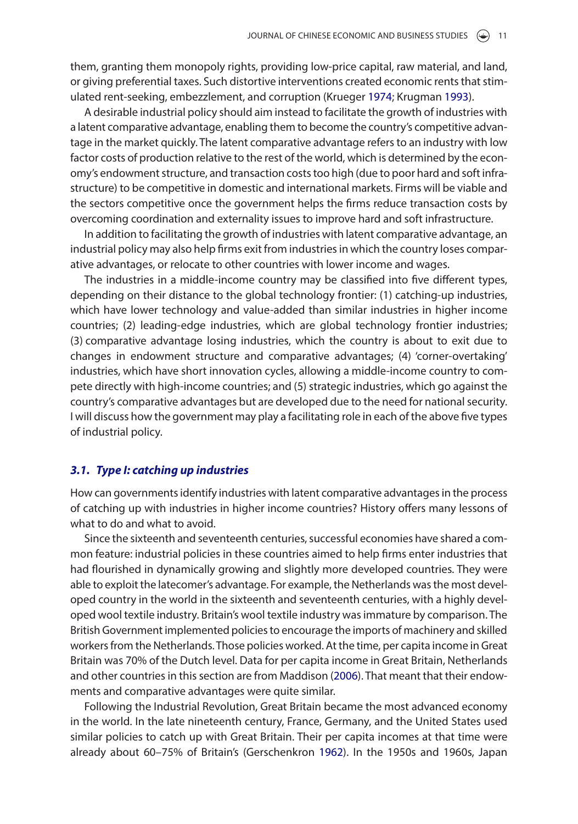them, granting them monopoly rights, providing low-price capital, raw material, and land, or giving preferential taxes. Such distortive interventions created economic rents that stimulated rent-seeking, embezzlement, and corruption (Krueger [1974;](#page-14-21) Krugman [1993](#page-14-22)).

<span id="page-7-2"></span><span id="page-7-1"></span>A desirable industrial policy should aim instead to facilitate the growth of industries with a latent comparative advantage, enabling them to become the country's competitive advantage in the market quickly. The latent comparative advantage refers to an industry with low factor costs of production relative to the rest of the world, which is determined by the economy's endowment structure, and transaction costs too high (due to poor hard and soft infrastructure) to be competitive in domestic and international markets. Firms will be viable and the sectors competitive once the government helps the firms reduce transaction costs by overcoming coordination and externality issues to improve hard and soft infrastructure.

In addition to facilitating the growth of industries with latent comparative advantage, an industrial policy may also help firms exit from industries in which the country loses comparative advantages, or relocate to other countries with lower income and wages.

The industries in a middle-income country may be classified into five different types, depending on their distance to the global technology frontier: (1) catching-up industries, which have lower technology and value-added than similar industries in higher income countries; (2) leading-edge industries, which are global technology frontier industries; (3) comparative advantage losing industries, which the country is about to exit due to changes in endowment structure and comparative advantages; (4) 'corner-overtaking' industries, which have short innovation cycles, allowing a middle-income country to compete directly with high-income countries; and (5) strategic industries, which go against the country's comparative advantages but are developed due to the need for national security. I will discuss how the government may play a facilitating role in each of the above five types of industrial policy.

# *3.1. Type I: catching up industries*

How can governments identify industries with latent comparative advantages in the process of catching up with industries in higher income countries? History offers many lessons of what to do and what to avoid.

Since the sixteenth and seventeenth centuries, successful economies have shared a common feature: industrial policies in these countries aimed to help firms enter industries that had flourished in dynamically growing and slightly more developed countries. They were able to exploit the latecomer's advantage. For example, the Netherlands was the most developed country in the world in the sixteenth and seventeenth centuries, with a highly developed wool textile industry. Britain's wool textile industry was immature by comparison. The British Government implemented policies to encourage the imports of machinery and skilled workers from the Netherlands. Those policies worked. At the time, per capita income in Great Britain was 70% of the Dutch level. Data for per capita income in Great Britain, Netherlands and other countries in this section are from Maddison ([2006](#page-14-23)). That meant that their endowments and comparative advantages were quite similar.

<span id="page-7-3"></span><span id="page-7-0"></span>Following the Industrial Revolution, Great Britain became the most advanced economy in the world. In the late nineteenth century, France, Germany, and the United States used similar policies to catch up with Great Britain. Their per capita incomes at that time were already about 60–75% of Britain's (Gerschenkron [1962\)](#page-13-13). In the 1950s and 1960s, Japan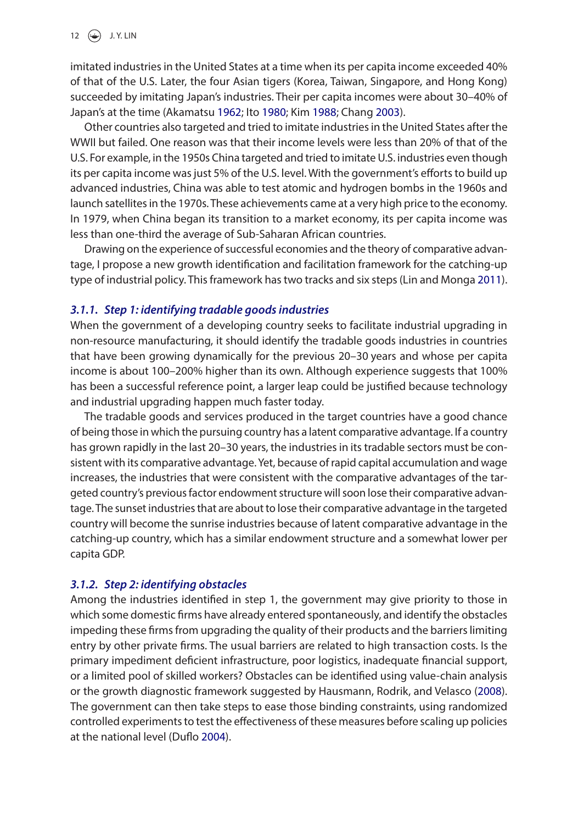imitated industries in the United States at a time when its per capita income exceeded 40% of that of the U.S. Later, the four Asian tigers (Korea, Taiwan, Singapore, and Hong Kong) succeeded by imitating Japan's industries. Their per capita incomes were about 30–40% of Japan's at the time (Akamatsu [1962](#page-13-14); Ito [1980](#page-13-15); Kim [1988](#page-13-16); Chang [2003](#page-13-8)).

<span id="page-8-4"></span><span id="page-8-3"></span><span id="page-8-0"></span>Other countries also targeted and tried to imitate industries in the United States after the WWII but failed. One reason was that their income levels were less than 20% of that of the U.S. For example, in the 1950s China targeted and tried to imitate U.S. industries even though its per capita income was just 5% of the U.S. level. With the government's efforts to build up advanced industries, China was able to test atomic and hydrogen bombs in the 1960s and launch satellites in the 1970s. These achievements came at a very high price to the economy. In 1979, when China began its transition to a market economy, its per capita income was less than one-third the average of Sub-Saharan African countries.

Drawing on the experience of successful economies and the theory of comparative advantage, I propose a new growth identification and facilitation framework for the catching-up type of industrial policy. This framework has two tracks and six steps (Lin and Monga [2011](#page-14-15)).

## *3.1.1. Step 1: identifying tradable goods industries*

When the government of a developing country seeks to facilitate industrial upgrading in non-resource manufacturing, it should identify the tradable goods industries in countries that have been growing dynamically for the previous 20–30 years and whose per capita income is about 100–200% higher than its own. Although experience suggests that 100% has been a successful reference point, a larger leap could be justified because technology and industrial upgrading happen much faster today.

The tradable goods and services produced in the target countries have a good chance of being those in which the pursuing country has a latent comparative advantage. If a country has grown rapidly in the last 20–30 years, the industries in its tradable sectors must be consistent with its comparative advantage. Yet, because of rapid capital accumulation and wage increases, the industries that were consistent with the comparative advantages of the targeted country's previous factor endowment structure will soon lose their comparative advantage. The sunset industries that are about to lose their comparative advantage in the targeted country will become the sunrise industries because of latent comparative advantage in the catching-up country, which has a similar endowment structure and a somewhat lower per capita GDP.

# *3.1.2. Step 2: identifying obstacles*

<span id="page-8-2"></span><span id="page-8-1"></span>Among the industries identified in step 1, the government may give priority to those in which some domestic firms have already entered spontaneously, and identify the obstacles impeding these firms from upgrading the quality of their products and the barriers limiting entry by other private firms. The usual barriers are related to high transaction costs. Is the primary impediment deficient infrastructure, poor logistics, inadequate financial support, or a limited pool of skilled workers? Obstacles can be identified using value-chain analysis or the growth diagnostic framework suggested by Hausmann, Rodrik, and Velasco ([2008](#page-13-17)). The government can then take steps to ease those binding constraints, using randomized controlled experiments to test the effectiveness of these measures before scaling up policies at the national level (Duflo [2004](#page-13-18)).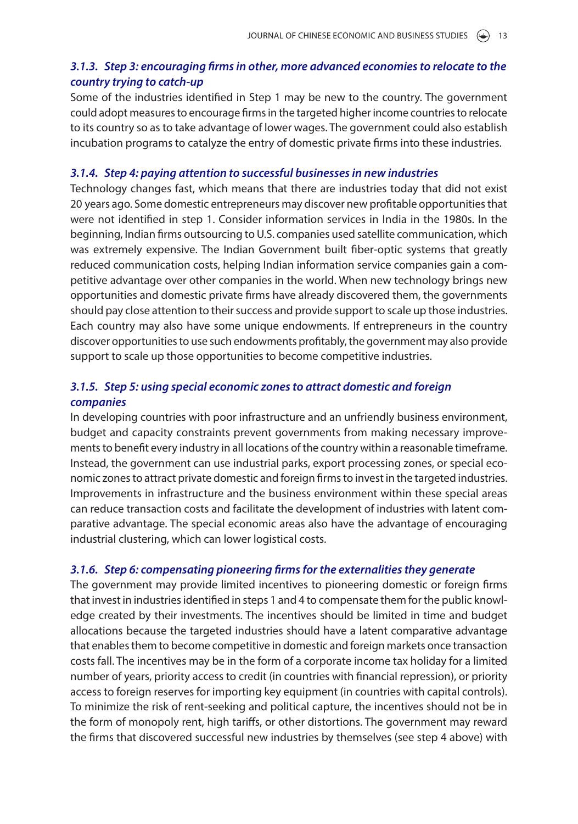# *3.1.3. Step 3: encouraging firms in other, more advanced economies to relocate to the country trying to catch-up*

Some of the industries identified in Step 1 may be new to the country. The government could adopt measures to encourage firms in the targeted higher income countries to relocate to its country so as to take advantage of lower wages. The government could also establish incubation programs to catalyze the entry of domestic private firms into these industries.

#### *3.1.4. Step 4: paying attention to successful businesses in new industries*

Technology changes fast, which means that there are industries today that did not exist 20 years ago. Some domestic entrepreneurs may discover new profitable opportunities that were not identified in step 1. Consider information services in India in the 1980s. In the beginning, Indian firms outsourcing to U.S. companies used satellite communication, which was extremely expensive. The Indian Government built fiber-optic systems that greatly reduced communication costs, helping Indian information service companies gain a competitive advantage over other companies in the world. When new technology brings new opportunities and domestic private firms have already discovered them, the governments should pay close attention to their success and provide support to scale up those industries. Each country may also have some unique endowments. If entrepreneurs in the country discover opportunities to use such endowments profitably, the government may also provide support to scale up those opportunities to become competitive industries.

# *3.1.5. Step 5: using special economic zones to attract domestic and foreign companies*

In developing countries with poor infrastructure and an unfriendly business environment, budget and capacity constraints prevent governments from making necessary improvements to benefit every industry in all locations of the country within a reasonable timeframe. Instead, the government can use industrial parks, export processing zones, or special economic zones to attract private domestic and foreign firms to invest in the targeted industries. Improvements in infrastructure and the business environment within these special areas can reduce transaction costs and facilitate the development of industries with latent comparative advantage. The special economic areas also have the advantage of encouraging industrial clustering, which can lower logistical costs.

#### *3.1.6. Step 6: compensating pioneering firms for the externalities they generate*

The government may provide limited incentives to pioneering domestic or foreign firms that invest in industries identified in steps 1 and 4 to compensate them for the public knowledge created by their investments. The incentives should be limited in time and budget allocations because the targeted industries should have a latent comparative advantage that enables them to become competitive in domestic and foreign markets once transaction costs fall. The incentives may be in the form of a corporate income tax holiday for a limited number of years, priority access to credit (in countries with financial repression), or priority access to foreign reserves for importing key equipment (in countries with capital controls). To minimize the risk of rent-seeking and political capture, the incentives should not be in the form of monopoly rent, high tariffs, or other distortions. The government may reward the firms that discovered successful new industries by themselves (see step 4 above) with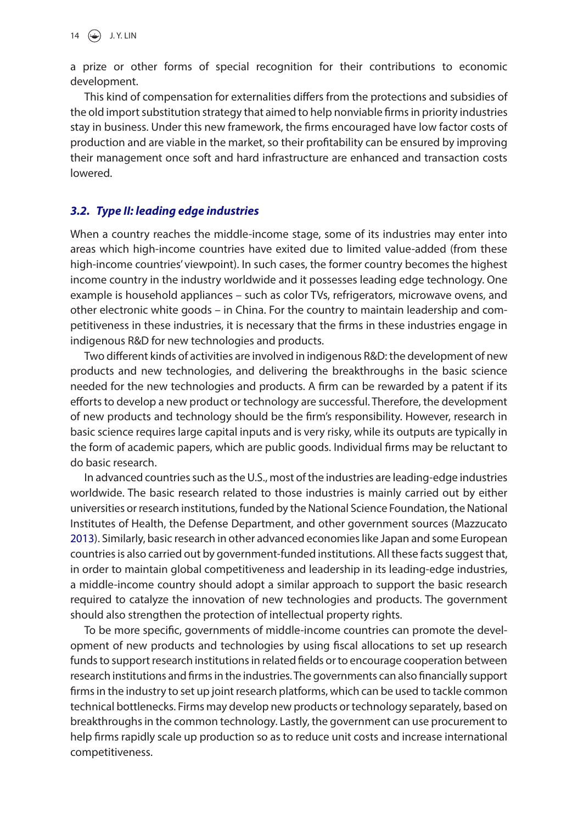a prize or other forms of special recognition for their contributions to economic development.

This kind of compensation for externalities differs from the protections and subsidies of the old import substitution strategy that aimed to help nonviable firms in priority industries stay in business. Under this new framework, the firms encouraged have low factor costs of production and are viable in the market, so their profitability can be ensured by improving their management once soft and hard infrastructure are enhanced and transaction costs lowered.

# *3.2. Type II: leading edge industries*

When a country reaches the middle-income stage, some of its industries may enter into areas which high-income countries have exited due to limited value-added (from these high-income countries' viewpoint). In such cases, the former country becomes the highest income country in the industry worldwide and it possesses leading edge technology. One example is household appliances – such as color TVs, refrigerators, microwave ovens, and other electronic white goods – in China. For the country to maintain leadership and competitiveness in these industries, it is necessary that the firms in these industries engage in indigenous R&D for new technologies and products.

Two different kinds of activities are involved in indigenous R&D: the development of new products and new technologies, and delivering the breakthroughs in the basic science needed for the new technologies and products. A firm can be rewarded by a patent if its efforts to develop a new product or technology are successful. Therefore, the development of new products and technology should be the firm's responsibility. However, research in basic science requires large capital inputs and is very risky, while its outputs are typically in the form of academic papers, which are public goods. Individual firms may be reluctant to do basic research.

<span id="page-10-0"></span>In advanced countries such as the U.S., most of the industries are leading-edge industries worldwide. The basic research related to those industries is mainly carried out by either universities or research institutions, funded by the National Science Foundation, the National Institutes of Health, the Defense Department, and other government sources (Mazzucato [2013](#page-14-24)). Similarly, basic research in other advanced economies like Japan and some European countries is also carried out by government-funded institutions. All these facts suggest that, in order to maintain global competitiveness and leadership in its leading-edge industries, a middle-income country should adopt a similar approach to support the basic research required to catalyze the innovation of new technologies and products. The government should also strengthen the protection of intellectual property rights.

To be more specific, governments of middle-income countries can promote the development of new products and technologies by using fiscal allocations to set up research funds to support research institutions in related fields or to encourage cooperation between research institutions and firms in the industries. The governments can also financially support firms in the industry to set up joint research platforms, which can be used to tackle common technical bottlenecks. Firms may develop new products or technology separately, based on breakthroughs in the common technology. Lastly, the government can use procurement to help firms rapidly scale up production so as to reduce unit costs and increase international competitiveness.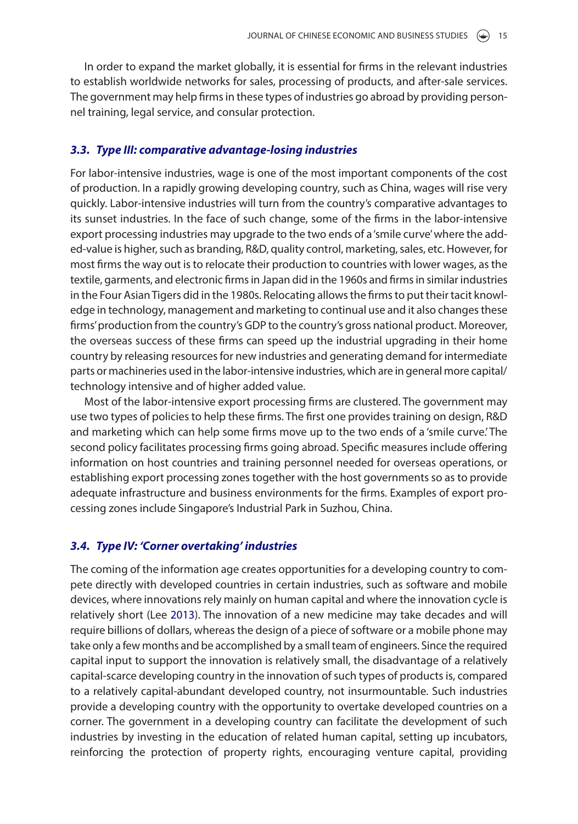In order to expand the market globally, it is essential for firms in the relevant industries to establish worldwide networks for sales, processing of products, and after-sale services. The government may help firms in these types of industries go abroad by providing personnel training, legal service, and consular protection.

# *3.3. Type III: comparative advantage-losing industries*

For labor-intensive industries, wage is one of the most important components of the cost of production. In a rapidly growing developing country, such as China, wages will rise very quickly. Labor-intensive industries will turn from the country's comparative advantages to its sunset industries. In the face of such change, some of the firms in the labor-intensive export processing industries may upgrade to the two ends of a 'smile curve' where the added-value is higher, such as branding, R&D, quality control, marketing, sales, etc. However, for most firms the way out is to relocate their production to countries with lower wages, as the textile, garments, and electronic firms in Japan did in the 1960s and firms in similar industries in the Four Asian Tigers did in the 1980s. Relocating allows the firms to put their tacit knowledge in technology, management and marketing to continual use and it also changes these firms' production from the country's GDP to the country's gross national product. Moreover, the overseas success of these firms can speed up the industrial upgrading in their home country by releasing resources for new industries and generating demand for intermediate parts or machineries used in the labor-intensive industries, which are in general more capital/ technology intensive and of higher added value.

Most of the labor-intensive export processing firms are clustered. The government may use two types of policies to help these firms. The first one provides training on design, R&D and marketing which can help some firms move up to the two ends of a 'smile curve.' The second policy facilitates processing firms going abroad. Specific measures include offering information on host countries and training personnel needed for overseas operations, or establishing export processing zones together with the host governments so as to provide adequate infrastructure and business environments for the firms. Examples of export processing zones include Singapore's Industrial Park in Suzhou, China.

# *3.4. Type IV: 'Corner overtaking' industries*

<span id="page-11-0"></span>The coming of the information age creates opportunities for a developing country to compete directly with developed countries in certain industries, such as software and mobile devices, where innovations rely mainly on human capital and where the innovation cycle is relatively short (Lee [2013](#page-14-25)). The innovation of a new medicine may take decades and will require billions of dollars, whereas the design of a piece of software or a mobile phone may take only a few months and be accomplished by a small team of engineers. Since the required capital input to support the innovation is relatively small, the disadvantage of a relatively capital-scarce developing country in the innovation of such types of products is, compared to a relatively capital-abundant developed country, not insurmountable. Such industries provide a developing country with the opportunity to overtake developed countries on a corner. The government in a developing country can facilitate the development of such industries by investing in the education of related human capital, setting up incubators, reinforcing the protection of property rights, encouraging venture capital, providing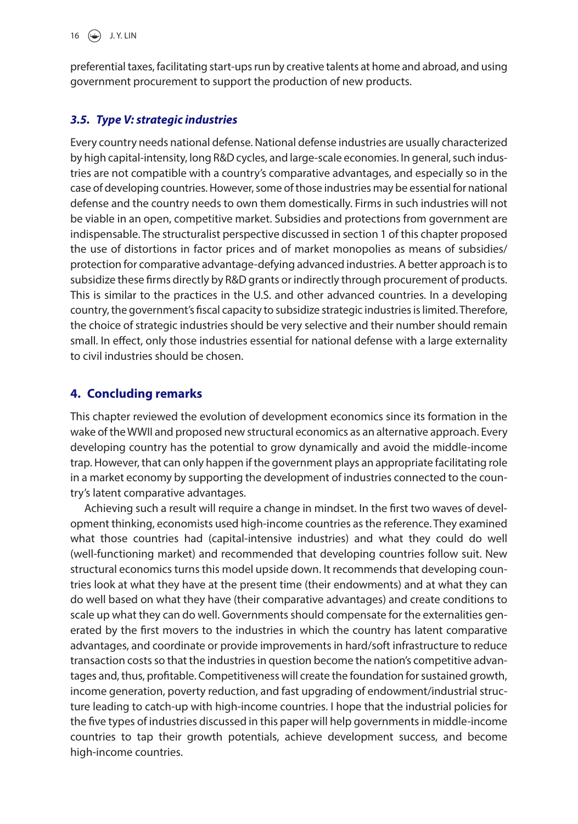preferential taxes, facilitating start-ups run by creative talents at home and abroad, and using government procurement to support the production of new products.

# *3.5. Type V: strategic industries*

Every country needs national defense. National defense industries are usually characterized by high capital-intensity, long R&D cycles, and large-scale economies. In general, such industries are not compatible with a country's comparative advantages, and especially so in the case of developing countries. However, some of those industries may be essential for national defense and the country needs to own them domestically. Firms in such industries will not be viable in an open, competitive market. Subsidies and protections from government are indispensable. The structuralist perspective discussed in section 1 of this chapter proposed the use of distortions in factor prices and of market monopolies as means of subsidies/ protection for comparative advantage-defying advanced industries. A better approach is to subsidize these firms directly by R&D grants or indirectly through procurement of products. This is similar to the practices in the U.S. and other advanced countries. In a developing country, the government's fiscal capacity to subsidize strategic industries is limited. Therefore, the choice of strategic industries should be very selective and their number should remain small. In effect, only those industries essential for national defense with a large externality to civil industries should be chosen.

# **4. Concluding remarks**

This chapter reviewed the evolution of development economics since its formation in the wake of the WWII and proposed new structural economics as an alternative approach. Every developing country has the potential to grow dynamically and avoid the middle-income trap. However, that can only happen if the government plays an appropriate facilitating role in a market economy by supporting the development of industries connected to the country's latent comparative advantages.

Achieving such a result will require a change in mindset. In the first two waves of development thinking, economists used high-income countries as the reference. They examined what those countries had (capital-intensive industries) and what they could do well (well-functioning market) and recommended that developing countries follow suit. New structural economics turns this model upside down. It recommends that developing countries look at what they have at the present time (their endowments) and at what they can do well based on what they have (their comparative advantages) and create conditions to scale up what they can do well. Governments should compensate for the externalities generated by the first movers to the industries in which the country has latent comparative advantages, and coordinate or provide improvements in hard/soft infrastructure to reduce transaction costs so that the industries in question become the nation's competitive advantages and, thus, profitable. Competitiveness will create the foundation for sustained growth, income generation, poverty reduction, and fast upgrading of endowment/industrial structure leading to catch-up with high-income countries. I hope that the industrial policies for the five types of industries discussed in this paper will help governments in middle-income countries to tap their growth potentials, achieve development success, and become high-income countries.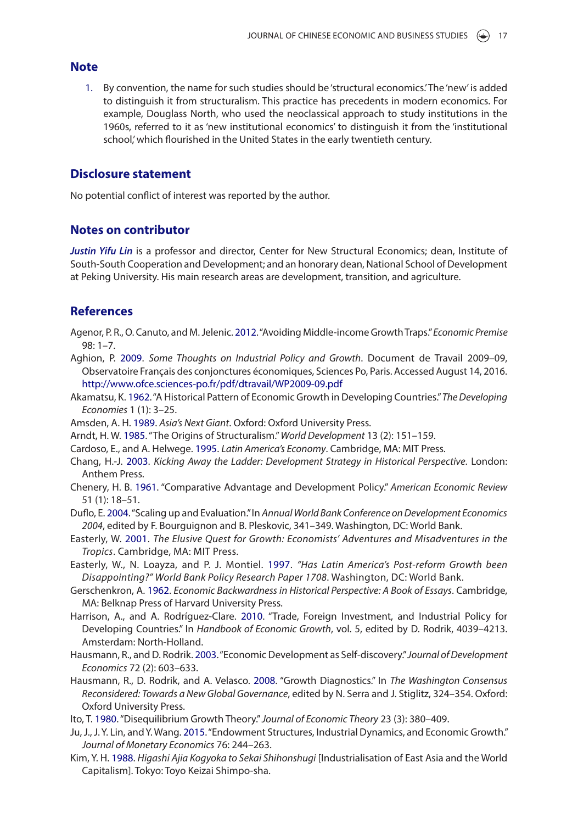#### **Note**

<span id="page-13-9"></span>1. By convention, the name for such studies should be 'structural economics.' The 'new' is added to distinguish it from structuralism. This practice has precedents in modern economics. For example, Douglass North, who used the neoclassical approach to study institutions in the 1960s, referred to it as 'new institutional economics' to distinguish it from the 'institutional school,' which flourished in the United States in the early twentieth century.

#### **Disclosure statement**

No potential conflict of interest was reported by the author.

# **Notes on contributor**

*Justin Yifu Lin* is a professor and director, Center for New Structural Economics; dean, Institute of South-South Cooperation and Development; and an honorary dean, National School of Development at Peking University. His main research areas are development, transition, and agriculture.

# **References**

- <span id="page-13-0"></span>Agenor, P. R., O. Canuto, and M. Jelenic. [2012.](#page-1-1) "Avoiding Middle-income Growth Traps." *Economic Premise* 98: 1–7.
- <span id="page-13-11"></span>Aghion, P. [2009](#page-5-0). *Some Thoughts on Industrial Policy and Growth*. Document de Travail 2009–09, Observatoire Français des conjonctures économiques, Sciences Po, Paris. Accessed August 14, 2016. <http://www.ofce.sciences-po.fr/pdf/dtravail/WP2009-09.pdf>
- <span id="page-13-14"></span>Akamatsu, K. [1962.](#page-8-0) "A Historical Pattern of Economic Growth in Developing Countries." *The Developing Economies* 1 (1): 3–25.
- <span id="page-13-7"></span>Amsden, A. H. [1989](#page-3-0). *Asia's Next Giant*. Oxford: Oxford University Press.
- <span id="page-13-2"></span>Arndt, H. W. [1985.](#page-2-0) "The Origins of Structuralism." *World Development* 13 (2): 151–159.
- <span id="page-13-4"></span>Cardoso, E., and A. Helwege. [1995](#page-3-1). *Latin America's Economy*. Cambridge, MA: MIT Press.
- <span id="page-13-8"></span>Chang, H.-J. [2003](#page-3-2). *Kicking Away the Ladder: Development Strategy in Historical Perspective*. London: Anthem Press.
- <span id="page-13-3"></span>Chenery, H. B. [1961.](#page-3-3) "Comparative Advantage and Development Policy." *American Economic Review* 51 (1): 18–51.
- <span id="page-13-18"></span>Duflo, E. [2004.](#page-8-1) "Scaling up and Evaluation." In *Annual World Bank Conference on Development Economics 2004*, edited by F. Bourguignon and B. Pleskovic, 341–349. Washington, DC: World Bank.
- <span id="page-13-6"></span>Easterly, W. [2001](#page-3-4). *The Elusive Quest for Growth: Economists' Adventures and Misadventures in the Tropics*. Cambridge, MA: MIT Press.
- <span id="page-13-5"></span>Easterly, W., N. Loayza, and P. J. Montiel. [1997.](#page-3-5) *"Has Latin America's Post-reform Growth been Disappointing?" World Bank Policy Research Paper 1708*. Washington, DC: World Bank.
- <span id="page-13-13"></span>Gerschenkron, A. [1962](#page-7-0). *Economic Backwardness in Historical Perspective: A Book of Essays*. Cambridge, MA: Belknap Press of Harvard University Press.
- <span id="page-13-1"></span>Harrison, A., and A. Rodríguez-Clare. [2010](#page-2-1). "Trade, Foreign Investment, and Industrial Policy for Developing Countries." In *Handbook of Economic Growth*, vol. 5, edited by D. Rodrik, 4039–4213. Amsterdam: North-Holland.
- <span id="page-13-12"></span>Hausmann, R., and D. Rodrik. [2003.](#page-5-1) "Economic Development as Self-discovery." *Journal of Development Economics* 72 (2): 603–633.
- <span id="page-13-17"></span>Hausmann, R., D. Rodrik, and A. Velasco. [2008](#page-8-2). "Growth Diagnostics." In *The Washington Consensus Reconsidered: Towards a New Global Governance*, edited by N. Serra and J. Stiglitz, 324–354. Oxford: Oxford University Press.
- <span id="page-13-15"></span>Ito, T. [1980.](#page-8-3) "Disequilibrium Growth Theory." *Journal of Economic Theory* 23 (3): 380–409.
- <span id="page-13-10"></span>Ju, J., J. Y. Lin, and Y. Wang. [2015](#page-4-0). "Endowment Structures, Industrial Dynamics, and Economic Growth." *Journal of Monetary Economics* 76: 244–263.
- <span id="page-13-16"></span>Kim, Y. H. [1988.](#page-8-4) *Higashi Ajia Kogyoka to Sekai Shihonshugi* [Industrialisation of East Asia and the World Capitalism]. Tokyo: Toyo Keizai Shimpo-sha.